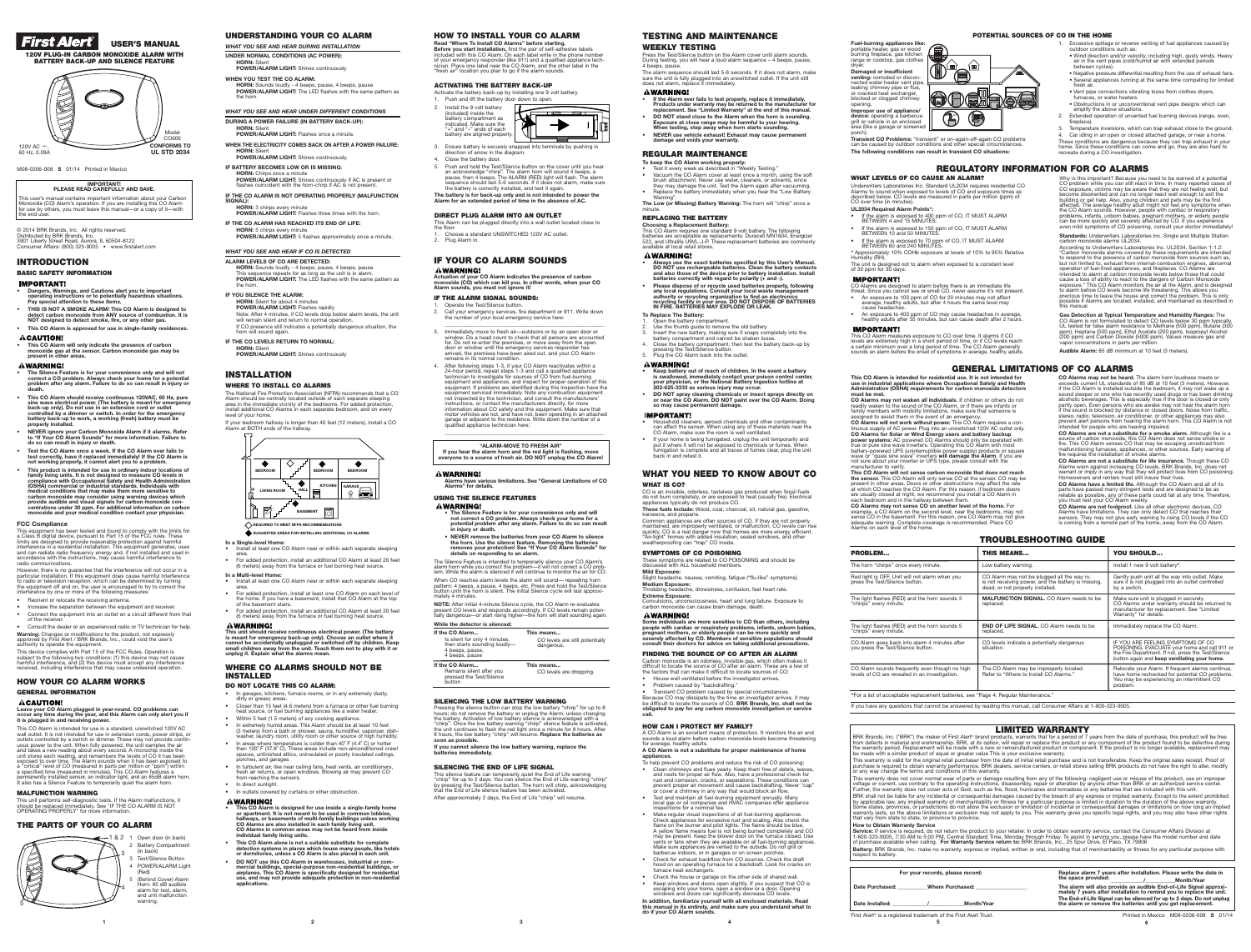### **INSTALLATION WHERE TO INSTALL CO ALARMS**

The National Fire Protection Association (NFPA) recommends that a CO<br>Alarm should be centrally located outside of each separate sleeping<br>area in the immediate vicinity of the bedrooms. For added protection, install additional CO Alarms in each separate bedroom, and on every level of your home.

- **In a Single-level Home:** • Install at least one CO Alarm near or within each separate sleeping
- For added protection, install an additional CO Alarm at least 20 feet (6 meters) away from the furnace or fuel burning heat source
- **In a Multi-level Home:** • Install at least one CO Alarm near or within each separate sleeping
- area.
- For added protection, install at least one CO Alarm on each level of<br>the home. If you have a basement, install that CO Alarm at the top<br>of the basement stairs.<br>• For added protection, install an additional CO Alarm at le

### **AWARNING!**

If your bedroom hallway is longer than <sup>40</sup> feet (12 meters), install <sup>a</sup> CO Alarm at BOTH ends of the hallway.

**This unit should receive continuous electrical power. (The battery** is meant for emergency back-up only). Choose an outlet where it<br>cannot be accidentally unplugged or switched off by children. Keep<br>small children away from the unit. Teach them not to play with it or<br>unplug it. Explain wha

- In garages, kitchens, furnace rooms, or in any extremely dusty, dirty or greasy areas. • Closer than 15 feet (4.6 meters) from a furnace or other fuel burning
- heat source, or fuel burning appliances like a water heater. • Within 5 feet (1.5 meters) of any cooking appliance.
- In extremely humid areas. This Alarm should be at least 10 feet (3 meters) from a bath or shower, sauna, humidifier, vaporizer, dish-washer, laundry room, utility room or other source of high humidity.
- In areas where temperature is colder than 40˚ F (4.4˚ C) or hotter than 100˚ F (37.8˚ C). These areas include non-airconditioned crawl spaces, unfinished attics, uninsulated or poorly insulated ceilings,
- porches, and garages. • In turbulent air, like near ceiling fans, heat vents, air conditioners, fresh air returns, or open windows. Blowing air may prevent CO
- from reaching the sensors. • In direct sunlight.
- In outlets covered by curtains or other obstruction.
- **AWARNING!** This CO Alarm is designed for use inside a single-family home<br>or apartment. It is not meant to be used in common lobbies,<br>hallways, or basements of multi-family buildings unless working<br>CO Alarms are also installed in each
- **• This CO Alarm alone is not a suitable substitute for complete detection systems in places which house many people, like hotels or dormitories, unless a CO Alarm is also placed in each unit.**
- **• DO NOT use this CO Alarm in warehouses, industrial or com**mercial buildings, special-purpose non-residential buildings, or<br>airplanes. This CO Alarm is specifically designed for residential<br>use, and may not provide adequate protection in non-residential<br>applications.

### **WHERE CO ALARMS SHOULD NOT BE INSTALLED**

### **DO NOT LOCATE THIS CO ALARM:**

# *First Alert®* **USER'S MANUAL 120V PLUG-IN CARBON MONOXIDE ALARM WITH BATTERY BACK-UP AND SILENCE FEATURE**

- Dangers, Warnings, and Cautions alert you to important<br>operating instructions or to potentially hazardous situations.<br>Pay special attention to these items.
- THIS IS NOT A SMOKE ALARM! This CO Alarm is designed to<br>detect carbon monoxide from ANY source of combustion. It is<br>NOT designed to detect smoke, fire, or any other gas. **• This CO Alarm is approved for use in single-family residences.**

### **ACAUTION!**

This equipment has been tested and found to comply with the limits for<br>a Class B digital device, pursuant to Part 15 of the FCC rules. These<br>limits are designed to provide reasonable protection against harmful<br>interference radio communications.

However, there is no guarantee that the interference will not occur in a<br>particular installation. If this equipment does cause harmful interference<br>to radio or television reception, which can be determined by turning<br>the e

M08-0206-008 **S** 01/14 Printed in Mexico

### **IMPORTANT! PLEASE READ CAREFULLY AND SAVE.**

## • Consult the dealer or an experienced radio or TV technician for help. **Warning:** Changes or modifications to the product, not expressly<br>approved by First Alert / BRK Brands, lnc., could void the user's<br>authority to operate the equipment.

This device complies with Part 15 of the FCC Rules. Operation is<br>subject to the following two conditions: (1) this device may not cause<br>harmful interference, and (2) this device must accept any interference<br>received. inclu

This user's manual contains important information about your Carbon Monoxide (CO) Alarm's operation. If you are installing this CO Alarm for use by others, you must leave this manual—or a copy of it—with the end user.

© 2014 BRK Brands, Inc. All rights reserved.<br>Distributed by BRK Brands, Inc.<br>3901 Liberty Street Road, Aurora, IL 60504-8122<br>Consumer Affairs: (800) 323-9005 ● www.firstalert.com

### **INTRODUCTION**

### **BASIC SAFETY INFORMATION**

### **IMPORTANT!**

**• This CO Alarm will only indicate the presence of carbon monoxide gas at the sensor. Carbon monoxide gas may be present in other areas.**

### **AWARNING!**

- ----------------<br>The Silence Feature is for your convenience only and will not<br>correct a CO problem. Always check your home for a potential<br>problem after any alarm. Failure to do so can result in injury or
- This CO Alarm should receive continuous 120VAC, 60 Hz, pure<br>sine wave electrical power. (The battery is meant for emergency<br>back-up only). Do not use in an extension cord or outlet<br>controlled by a dimmer or switch. In or
- NEVER ignore your Carbon Monoxide Alarm if it alarms. Refer<br>to "If Your CO Alarm Sounds" for more information. Failure to<br>do so can result in injury or death.
- Test the CO Alarm once a week. If the CO Alarm ever fails to<br>test correctly, have it replaced immediately! If the CO Alarm is<br>not working properly, it cannot alert you to a problem.
- This product is intended for use in ordinary indoor locations of family living units. It is not designed to measure CO levels in compliance with Occupational Safety and Health Administration (OSHA) commercial or industri

**EIMITED WARRANTY**<br>from defects in material and workmanship. BRK, at its optional products, warrants that for a period of 7 years from the date of purchase, this product will be free<br>from defects in material and workmanshi This warranty is valid for the original retail purchaser from the date of initial retail purchase and is not transferable. Keep the original sales receipt. Proof of<br>purchase is required to obtain warranty performance. BRK This warranty does not cover normal wear of parts or damage resulting from any of the following: negligent use or misuse of the product, use on improper voltage or current, use contrary to the operating instructions, disassembly, repair or alteration by anyone other than BRK or an authorized service center.<br>Further, the warranty does not cover acts of God, such as fire, fl BRK shall not be liable for any incidental or consequential damages caused by the breach of any express or implied warranty. Except to the extent prohibited<br>by applicable law, any implied warranty of merchantability or fit **How to Obtain Warranty Service** Service: If service is required, do not return the product to your retailer. In order to obtain warranty service, contact the Consumer Affairs Division at 1-800-323-9005, 7:30 AM to 5:00 PM, Central Standard Time, Monday t **Battery:** BRK Brands, Inc. make no warranty, express or implied, written or oral, including that of merchantability or fitness for any particular purpose with respect to battery.

**Read "Where To Install CO Alarms" before starting. Before you start installation,** find the pair of self-adhesive labels included with this CO Alarm. On each label write in the phone number of your emergency responder (like 911) and a qualified appliance techn. Place one label near the CO Alarm, and the other label in the "fresh air" location you plan to go if the alarm sounds

### **FCC Compliance**

### **IF YOUR CO ALARM SOUNDS AWARNING!**

Actuation of your CO Alarm indicates the presence of carbon<br>monoxide (CO) which can kill you. In other words, when your CO<br>Alarm sounds, you must not ignore it!

### **IF THE ALARM SIGNAL SOUNDS:** Operate the Test/Silence button.

- Reorient or relocate the receiving antenna.
- Increase the separation between the equipment and receiver • Connect the equipment into an outlet on <sup>a</sup> circuit different from that of the receiver.

### **USING THE SILENCE FEATURES AWARNING!**

### **HOW YOUR CO ALARM WORKS**

### **GENERAL INFORMATION**

### **ACAUTION!**

Leave your CO Alarm plugged in year-round. CO problems can<br>occur any time during the year, and this Alarm can only alert you if<br>it is plugged in and receiving power.

This CO Alarm is intended for use in a standard, unswitched 120V AC<br>wall outlet. It is not intended for use in extension cords, power strips, or<br>outlets controlled by a switch or dimmer. These may not provide contin-<br>uous

**"ALARM-MOVE TO FRESH AIR"** If you hear the alarm horn and the red light is flashing, move<br>everyone to a source of fresh air. DO NOT unplug the CO Alarm!

### **AWARNING!**

### **MALFUNCTION WARNING**

This unit performs self-diagnostic tests. If the Alarm malfunctions, it<br>should be replaced immediately. See "IF THE CO ALARM IS NOT<br>OPERATING PROPERLY" for more information.

Transient CO problem caused by special circumstances Because CO may dissipate by the time an investigator arrives, it may be difficult to locate the source of CO. **BRK Brands, Inc. shall not be**

### **THE PARTS OF YOUR CO ALARM**

**1 2 3 4 5**

This silence feature can temporarily quiet the End of Life warning<br>"chirp" for up to 2 days. You can silence the End of Life warning "chirp"<br>by pressing the Test/Silence button. The horn will chirp, acknowledging<br>that the

**CONSTRAINER AND THE CONSTRAINER CONSTRAINER AND CONSTRAINER TO THE MONETAINER TO THE MONETAINM THE MONETAINM THE MONETAINM THE MONETAINM THE MONETAINM THE MONETAINM THE MONETAINM THE MONETAINM THE MONETAINM THE MONETAINM** 

A CO Alarm is an excellent means of protection. It monitors the air and sounds a loud alarm before carbon monoxide levels become threatening for average, healthy adults. **A CO Alarm is not a substitute for proper maintenance of home**

• Clean chimneys and flues yearly. Keep them free of debris, leaves, and nests for proper air flow. Also, have a professional check for rust and corrosion, cracks, or separations. These conditions can prevent proper air mo

ess the Test/Silence button on the Alarm cover until alarm sounds. During testing, you will hear a loud alarm sequence – 4 beeps, pause, 4 beeps, pause. The alarm sequence should last 5-6 seconds. If it does not alarm, make sure the unit is fully plugged into an unswitched outlet. If the unit still does not alarm, replace it immediately.

If the Alarm ever fails to test properly, replace it immediately.<br>Products under warranty may be returned to the manufacturer for<br>replacement. See "Limited Warranty" at the end of this manual. **• DO NOT stand close to the Alarm when the horn is sounding.** Exposure at close range may be harmful to your hearing.<br>When testing, step away when horn starts sounding. **• NEVER use vehicle exhaust! Exhaust may cause permanent damage and voids your warranty.**

• Always use the exact batteries specified by this User's Manual.<br>DO NOT use rechargeable batteries. Clean the battery contacts<br>and also those of the device prior to battery installation. Install **batteries correctly with regard to polarity (+ and -).**

• Please dispose of or recycle used batteries properly, following<br>any local regulations. Consult your local waste management<br>authority or recycling organization to find an electronics<br>recycling facility in your area. DO NO

2. Use the thumb guide to remove the old battery.<br>
3. Insert the new battery, making sure it snaps completely into the<br>
battery compartment and cannot be shaken loose.<br>
4. Close the battery compartment, then test the batte

• Keep battery out of reach of children. In the event a battery<br>is swallowed, immediately contact your poison control center,<br>your physician, or the National Battery Ingestion hotline at<br>202-625-3333 as serious injury may

• DO NOT spray cleaning chemicals or insect sprays directly on<br>or near the CO Alarm. DO NOT paint over the CO Alarm. Doing<br>so may cause permanent damage.

**To Replace The Battery:** Open the battery compartment.

**AWARNING!** 

**IMPORTANT!** 

**AWARNING!** 

**6**

### **UNDERSTANDING YOUR CO ALARM**



### **HOW TO INSTALL YOUR CO ALARM**

- 2. Call your emergency services, fire department or 911. Write down the number of your local emergency service here:
- \_\_\_\_\_\_\_\_\_\_\_\_\_\_\_\_\_\_\_\_\_\_\_\_\_\_\_\_\_\_\_\_\_\_\_\_\_\_\_\_\_\_\_\_\_\_\_\_\_\_\_\_\_\_\_\_\_\_\_\_ 3. Immediately move to fresh air—outdoors or by an open door or window. Do a head count to check that all persons are accounted<br>for. Do not re-enter the premises, or move away from the open<br>door or window until the emergency services responder has<br>arrived, the premises have been aired remains in its normal condition.
- 4. After following steps 1-3, if your CO Alarm reactivates within a<br>24-hour period, repeat steps 1-3 and call a qualified appliance<br>technician to investigate for sources of CO from fuel-burning<br>equipment and appliances, an \_\_\_\_\_\_\_\_\_\_\_\_\_\_\_\_\_\_\_\_\_\_\_\_\_\_\_\_\_\_\_\_\_\_\_\_\_\_\_\_\_\_\_\_\_\_\_\_\_\_\_\_\_\_\_\_\_\_\_\_

**Alarms have various limitations. See "General Limitations of CO Alarms" for details.**

The Silence Feature is for your convenience only and will<br>The Silence Feature is for your convenience only and the correct a CO problem. Always check your home for a<br>potential problem after any alarm. Failure to do so can

• NEVER remove the batteries from your CO Alarm to silence<br>the horn. Use the silence feature. Removing the batteries<br>removes your protection! See "If Your CO Alarm Sounds" for<br>details on responding to an alarm.

The Silence Feature is intended to temporarily silence your CO Alarm's<br>alarm horn while you correct the problem—it will not correct a CO prob-<br>lem. While the alarm is silenced it will continue to monitor the air for CO.

When CO reaches alarm levels the alarm will sound— repeating horn<br>pattern: 4 beeps, a pause, 4 beeps, etc. Press and hold the Test/Silence<br>button until the horn is silent. The initial Silence cycle will last approxi-<br>matel

**NOTE:** After initial 4-minute Silence cycle, the CO Alarm re-evaluates present CO levels and responds accordingly. If CO levels remain poten-tially dangerous—or start rising higher—the horn will start sounding again.

**While the detector is silenced:**

**WHAT YOU NEED TO KNOW ABOUT CO**

**WHAT IS CO?**

CO is an invisible, odorless, tasteless gas produced when fossil fuels do not burn completely, or are exposed to heat (usually fire). Electrical appliances typically do not produce CO. **These fuels include:** Wood, coal, charcoal, oil, natural gas, gasoline,

Common appliances are often sources of CO. If they are not properly<br>maintained, are improperly ventilated, or malfunction, CO levels can rise<br>quickly. CO is a real danger now that homes are more energy efficient.<br>"Air-tigh

Some individuals are more sensitive to CO than others, including<br>people with cardiac or respiratory problems, infants, unborn babies,<br>pregnant mothers, or elderly people can be more quickly and<br>severely affected by CO. Mem

kerosene, and propane.

**AWARNING!** 

**Gas Detection at Typical Temperature and Humidity Ranges:** The<br>CO Alarm is not formulated to detect CO levels below 30 ppm typically.<br>UL tested for false alarm resistance to Methane (500 ppm), Butane (300 ppm), Heptane (500 ppm), Ethyl Acetate (200 ppm), Isopropyl Alcohol (200 ppm) and Carbon Dioxide (5000 ppm). Values measure gas and

# **CONSERVATIVES**<br>
Why is this important? Because you need to be warned of a potential<br>
CO problem while you can still react in time. In many reported cases of<br>
CO exposure, victims may be aware that they are not feeling wel **REGULATORY INFORMATION FOR CO ALARMS**

**SYMPTOMS OF CO POISONING**

### **HORN:** Silent for about 4 minutes **POWER/ALARM LIGHT:** Flashes rapidly

### **HORN:** S **POWER/ALARM LIGHT:** Shines continuously

**Fuel-burning appliances like:** portable heater, gas or wood<br>burning fireplace, gas kitchen<br>range or cooktop, gas clothes

**FINDING THE SOURCE OF CO AFTER AN ALARM** Carbon monoxide is an odorless, invisible gas, which often makes it difficult to locate the source of CO after an alarm. These are a few of the factors that can make it difficult to locate sources of CO: • House well ventilated before the investigator arrives.

- 1. Excessive spillage or reverse venting of fuel appliances caused by outdoor conditions such as:
- Wind direction and/or velocity, including high, gusty winds. Heavy air in the vent pipes (cold/humid air with extended periods between cycles). • Negative pressure differential resulting from the use of exhaust fans.
- Several appliances running at the same time competing for limited<br>• Several appliances running at the same time competing for limited<br>fresh air.
- Vent pipe connections vibrating loose from clothes dryers,
- furnaces, or water heaters.
- Obstructions in or unconventional vent pipe designs which can amplify the above situations.
- 2. Extended operation of unvented fuel burning devices (range, oven, fireplace). Temperature inversions, which can trap exhaust close to the ground.

• Problem caused by "backdrafting."

**call.**

liances.

**HOW CAN I PROTECT MY FAMILY?**

Car idling in an open or closed attached garage, or near a home. These conditions are dangerous because they can trap exhaust in your home. Since these conditions can come and go, they are also hard to recreate during a CO investigation.

**Standards:** Underwriters Laboratories Inc. Single and Multiple Station<br>carbon monoxide alarms UL2034.<br>According to Underwriters Laboratories Inc. UL2034, Section 1-1.2:<br>"Carbon monoxide alarms covered by these requirement

To help prevent CO problems and reduce the risk of CO poisoning:

**obligated** to pay for any carbon monoxide investig

These symptoms are related to CO POISONING and should be discussed with ALL household members.<br> **ATLICE TO POISONING AND STATE Mild Exposure:** Slight headache, nausea, vomiting, fatigue ("flu-like" symptoms). **Medium Exposure:** Throbbing headache, drowsiness, confusion, fast heart rate. **Extreme Exposure:**<br>Convulsions, unconsciousness, heart and lung failure. Exposure to<br>carbon monoxide can cause brain damage, death.

Activate the battery back-up by installing one 9 volt battery. Push and lift the battery door down to open.

- 2. Install the 9 volt battery (included) inside the battery compartment as indicated. Make sure the "+" and "–" ends of each battery are aligned properly.
- $\overline{\phantom{0}}$ 3. Ensure battery is securely snapped into terminals by pushing in direction of arrow in the diagram.

• Test and maintain all fuel-burning equipment annually. Many local gas or oil companies and HVAC companies offer appliance inspections for a nominal fee. • Make regular visual inspections of all fuel-burning appliances.

• Check for exhaust backflow from CO sources. Check the draft hood on an operating furnace for a backdraft. Look for cracks on furnace heat exchangers. • Check the house or garage on the other side of shared wall.

• Keep windows and doors open slightly. If you suspect that CO is escaping into your home, open a window or a door. Opening windows and doors can significantly decrease CO levels. **In addition, familiarize yourself with all enclosed materials. Read this manual in its entirety, and make sure you understand what to**

Check appliances for excessive rust and scaling. Also check the<br>flame on the burner and pilot lights. The flame should be blue.<br>A yellow flame means fuel is not being burned completely and CO<br>may be present. Keep the blowe

JUNE Mode CO606120V AC ~, 60 Hz, 0.09A **CONFORMS TO UL STD 2034**

**do if your CO Alarm sounds.**

This CO Alarm measures exposure to CO over time. It alarms if CO<br>levels are extremely high in a short period of time, or if CO levels reach<br>a certain minimum over a long period of time. The CO Alarm generally<br>sounds an ala

### **WHAT LEVELS OF CO CAUSE AN ALARM?**

Underwriters Laboratories Inc. Standard UL2034 requires residential CO Alarms to sound when exposed to levels of CO and exposure times as described below. CO levels are measured in parts per million (ppm) of CO over time (in minutes).

- **UL2034 Required Alarm Points\*:**
- If the alarm is exposed to 400 ppm of CO, IT MUST ALARM BETWEEN 4 and 15 MINUTES.
- If the alarm is exposed to 150 ppm of CO, IT MUST ALARM<br>BETWEEN 10 and 50 MINUTES.
- If the alarm is exposed to 70 ppm of CO, IT MUST ALARM BETWEEN 60 and 240 MINUTES.

**\*** Approximately 10% COHb exposure at levels of 10% to 95% Relative Humidity (RH). The unit is designed not to alarm when exposed to a constant level of 30 ppm for 30 days.

### **IMPORTANT!**

CO Alarms are designed to alarm before there is an immediate life threat. Since you cannot see or smell CO, never assume it's not present.

- An exposure to 100 ppm of CO for 20 minutes may not affect average, healthy adults, but after 4 hours the same level may avorago, ...........<br>cause headaches
- An exposure to <sup>400</sup> ppm of CO may cause headaches in average, healthy adults after <sup>35</sup> minutes, but can cause death after <sup>2</sup> hours.

### **IMPORTANT!**

**TESTING AND MAINTENANCE**

**WEEKLY TESTING**

**AWARNING!** 

**REGULAR MAINTENANCE To keep the CO Alarm working properly:**

*WHAT YOU SEE AND HEAR DURING INSTALLATION* **UNDER NORMAL CONDITIONS (AC POWER): HORN:** Silent

> • Test it every week as described in "Weekly Testing." • Vacuum the CO Alarm cover at least once a month, using the soft brush attachment. Never use water, cleaners, or solvents, since they may damage the unit. Test the Alarm again after vacuuming. • Replace the battery immediately when you hear the "Low Battery Warning". **The Low (or Missing) Battery Warning:** The horn will "chirp" once a

**Choosing a Replacement Battery:**<br>This CO Alarm requires one standard 9 volt battery. The following<br>batteries are acceptable as replacements: Duracell MN1604, Energizer<br>522, and Ultralife U9VL-J-P. These replacement batter

minute.

**REPLACING THE BATTERY**

• Household cleaners, aerosol chemicals and other contaminants can affect the sensor. When using any of these materials near the CO Alarm, make sure the room is well ventilated.

• If your home is being fumigated, unplug the unit temporarily and put it where it will not be exposed to chemicals or fumes. When fumigation is complete and all traces of fumes clear, plug the unit back in and retest it.

### **TROUBLESHOOTING GUIDE**

If you have any questions that cannot be answered by reading this manual, call Consumer Affairs at 1-800-323-9005.

vapor concentrations in parts per million.

**Audible Alarm:** 85 dB minimum at 10 feet (3 meters).



**GENERAL LIMITATIONS OF CO ALARMS**

This CO Alarm is intended for residential use. It is not intended for<br>use in industrial applications where Occupational Safety and Health<br>Administration (OSHA) requirements for carbon monoxide detectors

must be met.<br>CO Alarms may not waken all individuals. If children or others do not<br>ceadily waken to the sound of the CO Alarm, or if there are infants or<br>family members with mobility limitations, make sure that someone is<br>

and CO Alarms for Solar or Wind Energy users and battery backup<br>power systems: AC powered CO Alarms should only be operated with<br>power systems: AC powered CO Alarms should only be operated with<br>true or pure sine wave inver

This CO Alarm will not sense carbon monoxide that does not reach<br>the sensor. This CO Alarm will only sense CO at the sensor. CO may be<br>present in other areas. Doors or other obstructions may affect the rate<br>at which CO rea

CO Alarms may not sense CO on another level of the home. For<br>example, a CO Alarm on the second level, near the bedrooms, may not<br>sense CO in the basement. For this reason, one CO Alarm may not give<br>adequate warning. Comple

**CO Alarms may not be heard.** The alarm horn loudness meets or exceeds current UL standards of 85 dB at 10 feet (3 meters). However, if the CO Alarm is installed outside the bedroom, it may not wake up a sound sleeper or o

CO Alarms are not a substitute for a smoke alarm. Although fire is a source of carbon monoxide, this CO Alarm does not sense smoke or fire. This CO Alarm senses CO that may be escaping unnoticed from malfunctioning furnace

**CO Alarms are not a substitute for life insurance.** Though these CO Alarms warn against increasing CO levels, BRK Brands, Inc. does not warrant or imply in any way that they will protect lives from CO poisoning. Homeowner

**CO Alarms have a limited life.** Although the CO Alarm and all of its<br>parts have passed many stringent tests and are designed to be as<br>reliable as possible, any of these parts could fail at any time. Therefore,<br>you must te

**CO Alarms are not foolproof.** Like all other electronic devices, CO<br>Alarms have limitations. They can only detect CO that reaches their<br>sensors. They may not give early warning to rising CO levels if the CO<br>is coming from

| <b>PROBLEM</b>                                                                                   | <b>THIS MEANS</b>                                                                                                                      | YOU SHOULD                                                                                                                                                                                 |  |  |
|--------------------------------------------------------------------------------------------------|----------------------------------------------------------------------------------------------------------------------------------------|--------------------------------------------------------------------------------------------------------------------------------------------------------------------------------------------|--|--|
| The horn "chirps" once every minute.                                                             | Low battery warning.                                                                                                                   | Install 1 new 9 volt battery*.                                                                                                                                                             |  |  |
| Red light is OFF. Unit will not alarm when you<br>press the Test/Silence button.                 | CO Alarm may not be plugged all the way in,<br>is not receiving power, and the battery is missing,<br>dead, or not properly installed. | Gently push unit all the way into outlet. Make<br>sure it is not plugged into an outlet controlled<br>by a switch.                                                                         |  |  |
| The light flashes (RED) and the horn sounds 3<br>"chirps" every minute.                          | <b>MALFUNCTION SIGNAL.</b> CO Alarm needs to be<br>replaced.                                                                           | Make sure unit is plugged in securely.<br>CO Alarms under warranty should be returned to<br>manufacturer for replacement. See "Limited<br>Warranty" for details.                           |  |  |
| The light flashes (RED) and the horn sounds 5<br>"chirps" every minute.                          | <b>END OF LIFE SIGNAL, CO Alarm needs to be</b><br>replaced.                                                                           | Immediately replace the CO Alarm.                                                                                                                                                          |  |  |
| CO Alarm goes back into alarm 4 minutes after<br>you press the Test/Silence button.              | CO levels indicate a potentially dangerous<br>situation.                                                                               | IF YOU ARE FEELING SYMPTOMS OF CO.<br>POISONING, EVACUATE your home and call 911 or<br>the Fire Department. If not, press the Test/Silence<br>button again and keep ventilating your home. |  |  |
| CO Alarm sounds frequently even though no high<br>levels of CO are revealed in an investigation. | The CO Alarm may be improperly located.<br>Refer to "Where to Install CO Alarms."                                                      | Relocate your Alarm. If frequent alarms continue,<br>have home rechecked for potential CO problems.<br>You may be experiencing an intermittent CO<br>problem.                              |  |  |
| *For a list of acceptable replacement batteries, see "Page 4: Regular Maintenance."              |                                                                                                                                        |                                                                                                                                                                                            |  |  |

- **POWER/ALARM LIGHT:** Shines continuously **WHEN YOU TEST THE CO ALARM:**
- **HORN:** Sounds loudly 4 beeps, pause, 4 beeps, pause **POWER/ALARM LIGHT:** The LED flashes with the same pattern as the horn.
- *WHAT YOU SEE AND HEAR UNDER DIFFERENT CONDITIONS*
- **DURING A POWER FAILURE (IN BATTERY BACK-UP): HORN: Silent POWER/ALARM LIGHT:** Flashes once a minute.
- **WHEN THE ELECTRICITY COMES BACK ON AFTER A POWER FAILURE: HORN:** Silent
- **POWER/ALARM LIGHT:** Shines continuously. **IF BATTERY BECOMES LOW OR IS MISSING: HORN:** Chirps once a minute<br>**POWER/ALARM LIGHT:** Shines continuously if AC is present or<br>flashes coincident with the horn-chirp if AC is not present.
- **IF THE CO ALARM IS NOT OPERATING PROPERLY (MALFUNCTION SIGNAL):**
- **HORN:** 3 chirps every minute **POWER/ALARM LIGHT:** Flashes three times with the horn.
- **IF THE CO ALARM HAS REACHED ITS END OF LIFE: HORN:** 5 chirps every minute **POWER/ALARM LIGHT:** 5 flashes approximately once a minute.

### *WHAT YOU SEE AND HEAR IF CO IS DETECTED*

- **ALARM LEVELS OF CO ARE DETECTED: HORN:** Sounds loudly - 4 beeps, pause, 4 beeps, pause.<br>This sequence repeats for as long as the unit is in alarm.<br>**POWER/ALARM LIGHT:** The LED flashes with the same pattern as<br>the horn.
- **IF YOU SILENCE THE ALARM:**

Note: After <sup>4</sup> minutes, if CO levels drop below alarm levels, the unit will remain silent and return to normal operation. If CO presence still indicates <sup>a</sup> potentially dangerous situation, the horn will sound again.

**IF THE CO LEVELS RETURN TO NORMAL:**

**Improper use of appliance/ device:** operating a barbecue grill or vehicle in an enclosed area (like a garage or screened porch).

**Transient CO Problems:** "transient" or on-again-off-again CO problems can be caused by outdoor conditions and other special circumstances. **The following conditions can result in transient CO situations:**

| For your records, please record:                                 | Replace alarm 7 years after installation. Please write the date in<br>the space provided:                                                                       |  |
|------------------------------------------------------------------|-----------------------------------------------------------------------------------------------------------------------------------------------------------------|--|
| Date Purchased:<br>Where Purchased:                              | <b>Month/Year</b><br>The alarm will also provide an audible End-of-Life Signal approxi-<br>mately 7 years after installation to remind you to replace the unit. |  |
| <b>Month/Year</b><br>Date Installed:                             | The End-of-Life Signal can be silenced for up to 2 days. Do not unplug<br>the alarm or remove the batteries until you get replacement.                          |  |
| First Alert® is a registered trademark of the First Alert Trust. | Printed in Mexico M08-0206-008 S 01/14                                                                                                                          |  |

**Damaged or insufficient**<br> **venting:** corroded or discon-<br>
leaking chimney pipe or flue,<br>
or cracked heat exchanger,<br>
or cracked or clogged chimney<br>
blocked or clogged chimney<br>
opening.

# **POTENTIAL SOURCES OF CO IN THE HOME**

**If the CO Alarm...**

Is silent for only 4 minutes, then starts sounding loudly— <sup>4</sup> beeps, pause, <sup>4</sup> beeps, pause

**This means...**

CO levels are still potentially dangerous.

**If the CO Alarm...**

Remains silent after you pressed the Test/Silence button

**This means...**

CO levels are dropping.

### **ACTIVATING THE BATTERY BACK-UP**

4. Close the battery door.

5. Push and hold the Test/Silence button on the cover until you hear<br>an acknowledge "chirp". The alarm horn will sound 4 beeps, a<br>pause, then 4 beeps. The ALARM (RED) light will flash. The alarm<br>sequence should last 5-6 se

The battery is for back-up only and is not intended to power the<br>Alarm for an extended period of time in the absence of AC.

### **DIRECT PLUG ALARM INTO AN OUTLET**

This Alarm can be plugged directly into a wall outlet located close to the floor. 1. Choose a standard UNSWITCHED 120V AC outlet. 2. Plug Alarm in.

**SILENCING THE END OF LIFE SIGNAL**

After approximately 2 days, the End of Life "chirp" will resume.

**SILENCING THE LOW BATTERY WARNING**

**If you cannot silence the low battery warning, replace the batteries immediately.**



**–**

**–**

 $\begin{picture}(180,10) \put(0,0){\line(1,0){10}} \put(10,0){\line(1,0){10}} \put(10,0){\line(1,0){10}} \put(10,0){\line(1,0){10}} \put(10,0){\line(1,0){10}} \put(10,0){\line(1,0){10}} \put(10,0){\line(1,0){10}} \put(10,0){\line(1,0){10}} \put(10,0){\line(1,0){10}} \put(10,0){\line(1,0){10}} \put(10,0){\line(1,0){10}} \put(10,0){\line($